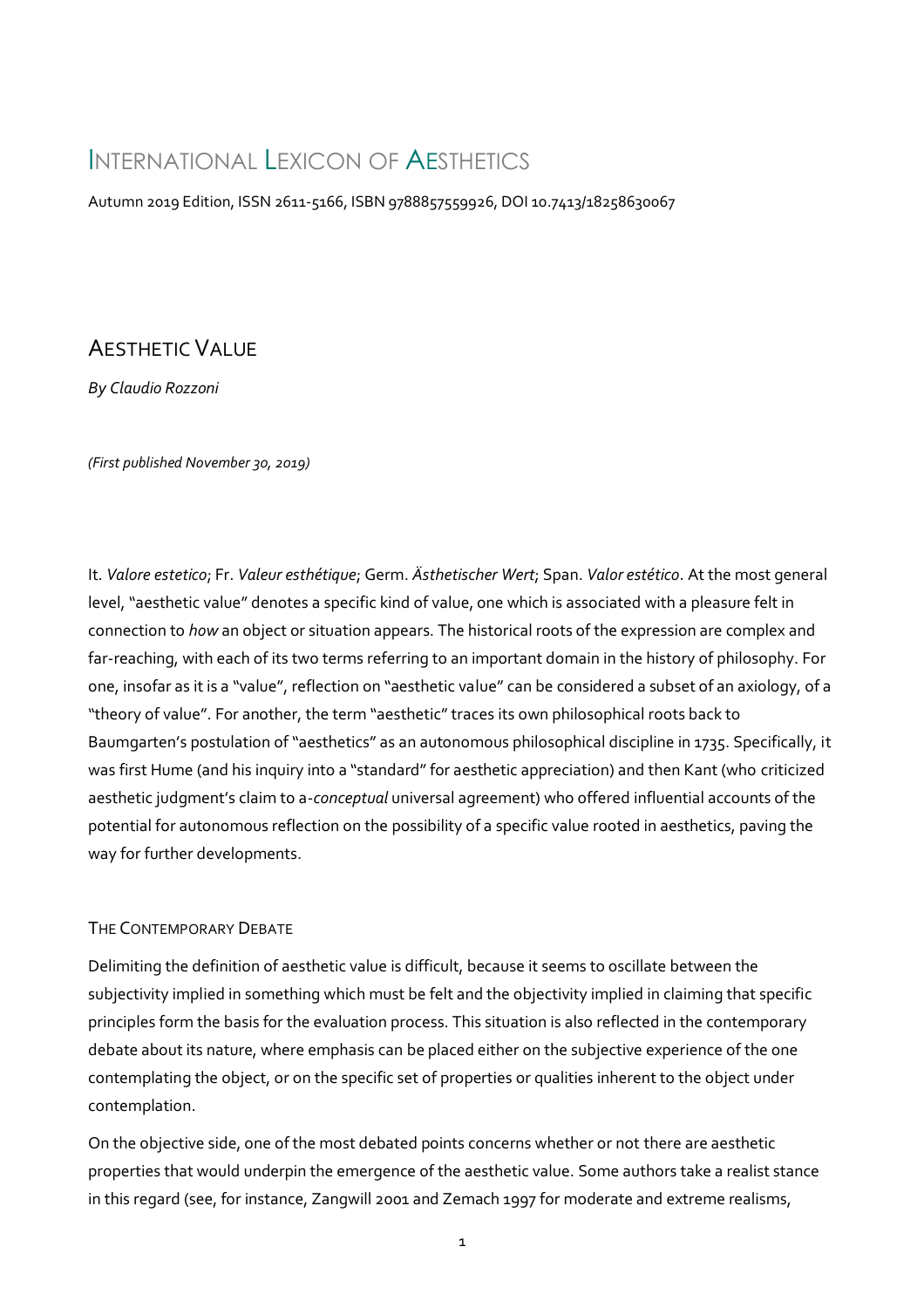# INTERNATIONAL LEXICON OF AESTHETICS

Autumn 2019 Edition, ISSN 2611-5166, ISBN 9788857559926, DOI 10.7413/18258630067

# AESTHETIC VALUE

*By Claudio Rozzoni*

*(First published November 30, 2019)*

It. *Valore estetico*; Fr. *Valeur esthétique*; Germ. *Ästhetischer Wert*; Span. *Valor estético*. At the most general level, "aesthetic value" denotes a specific kind of value, one which is associated with a pleasure felt in connection to *how* an object or situation appears. The historical roots of the expression are complex and far-reaching, with each of its two terms referring to an important domain in the history of philosophy. For one, insofar as it is a "value", reflection on "aesthetic value" can be considered a subset of an axiology, of a "theory of value". For another, the term "aesthetic" traces its own philosophical roots back to Baumgarten's postulation of "aesthetics" as an autonomous philosophical discipline in 1735. Specifically, it was first Hume (and his inquiry into a "standard" for aesthetic appreciation) and then Kant (who criticized aesthetic judgment's claim to a-*conceptual* universal agreement) who offered influential accounts of the potential for autonomous reflection on the possibility of a specific value rooted in aesthetics, paving the way for further developments.

# THE CONTEMPORARY DEBATE

Delimiting the definition of aesthetic value is difficult, because it seems to oscillate between the subjectivity implied in something which must be felt and the objectivity implied in claiming that specific principles form the basis for the evaluation process. This situation is also reflected in the contemporary debate about its nature, where emphasis can be placed either on the subjective experience of the one contemplating the object, or on the specific set of properties or qualities inherent to the object under contemplation.

On the objective side, one of the most debated points concerns whether or not there are aesthetic properties that would underpin the emergence of the aesthetic value. Some authors take a realist stance in this regard (see, for instance, Zangwill 2001 and Zemach 1997 for moderate and extreme realisms,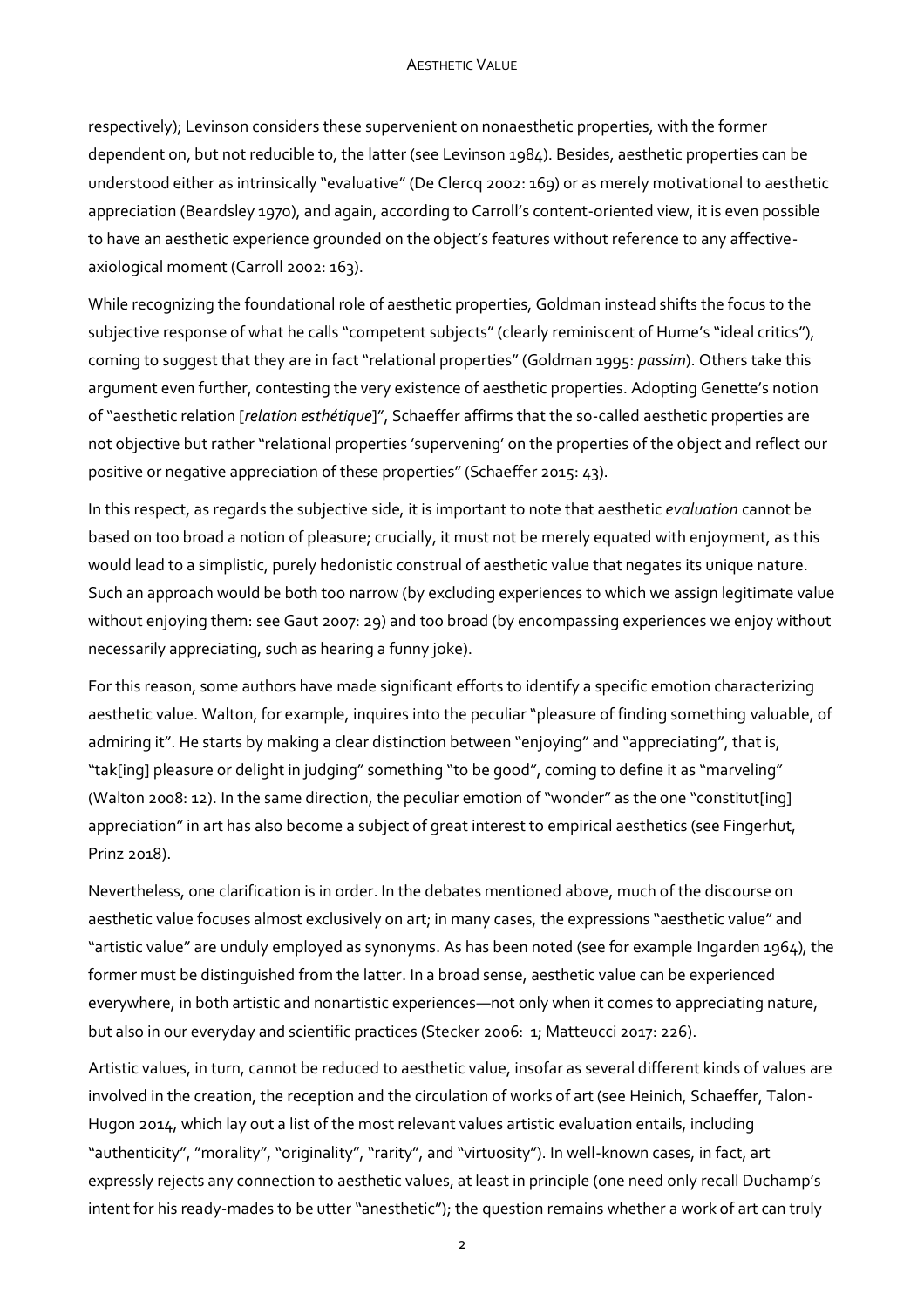#### **AESTHETIC VALUE**

respectively); Levinson considers these supervenient on nonaesthetic properties, with the former dependent on, but not reducible to, the latter (see Levinson 1984). Besides, aesthetic properties can be understood either as intrinsically "evaluative" (De Clercq 2002: 169) or as merely motivational to aesthetic appreciation (Beardsley 1970), and again, according to Carroll's content-oriented view, it is even possible to have an aesthetic experience grounded on the object's features without reference to any affectiveaxiological moment (Carroll 2002: 163).

While recognizing the foundational role of aesthetic properties, Goldman instead shifts the focus to the subjective response of what he calls "competent subjects" (clearly reminiscent of Hume's "ideal critics"), coming to suggest that they are in fact "relational properties" (Goldman 1995: *passim*). Others take this argument even further, contesting the very existence of aesthetic properties. Adopting Genette's notion of "aesthetic relation [*relation esthétique*]", Schaeffer affirms that the so-called aesthetic properties are not objective but rather "relational properties 'supervening' on the properties of the object and reflect our positive or negative appreciation of these properties" (Schaeffer 2015: 43).

In this respect, as regards the subjective side, it is important to note that aesthetic *evaluation* cannot be based on too broad a notion of pleasure; crucially, it must not be merely equated with enjoyment, as this would lead to a simplistic, purely hedonistic construal of aesthetic value that negates its unique nature. Such an approach would be both too narrow (by excluding experiences to which we assign legitimate value without enjoying them: see Gaut 2007: 29) and too broad (by encompassing experiences we enjoy without necessarily appreciating, such as hearing a funny joke).

For this reason, some authors have made significant efforts to identify a specific emotion characterizing aesthetic value. Walton, for example, inquires into the peculiar "pleasure of finding something valuable, of admiring it". He starts by making a clear distinction between "enjoying" and "appreciating", that is, "tak[ing] pleasure or delight in judging" something "to be good", coming to define it as "marveling" (Walton 2008: 12). In the same direction, the peculiar emotion of "wonder" as the one "constitut[ing] appreciation" in art has also become a subject of great interest to empirical aesthetics (see Fingerhut, Prinz 2018).

Nevertheless, one clarification is in order. In the debates mentioned above, much of the discourse on aesthetic value focuses almost exclusively on art; in many cases, the expressions "aesthetic value" and "artistic value" are unduly employed as synonyms. As has been noted (see for example Ingarden 1964), the former must be distinguished from the latter. In a broad sense, aesthetic value can be experienced everywhere, in both artistic and nonartistic experiences—not only when it comes to appreciating nature, but also in our everyday and scientific practices (Stecker 2006: 1; Matteucci 2017: 226).

Artistic values, in turn, cannot be reduced to aesthetic value, insofar as several different kinds of values are involved in the creation, the reception and the circulation of works of art (see Heinich, Schaeffer, Talon-Hugon 2014, which lay out a list of the most relevant values artistic evaluation entails, including "authenticity", "morality", "originality", "rarity", and "virtuosity"). In well-known cases, in fact, art expressly rejects any connection to aesthetic values, at least in principle (one need only recall Duchamp's intent for his ready-mades to be utter "anesthetic"); the question remains whether a work of art can truly

2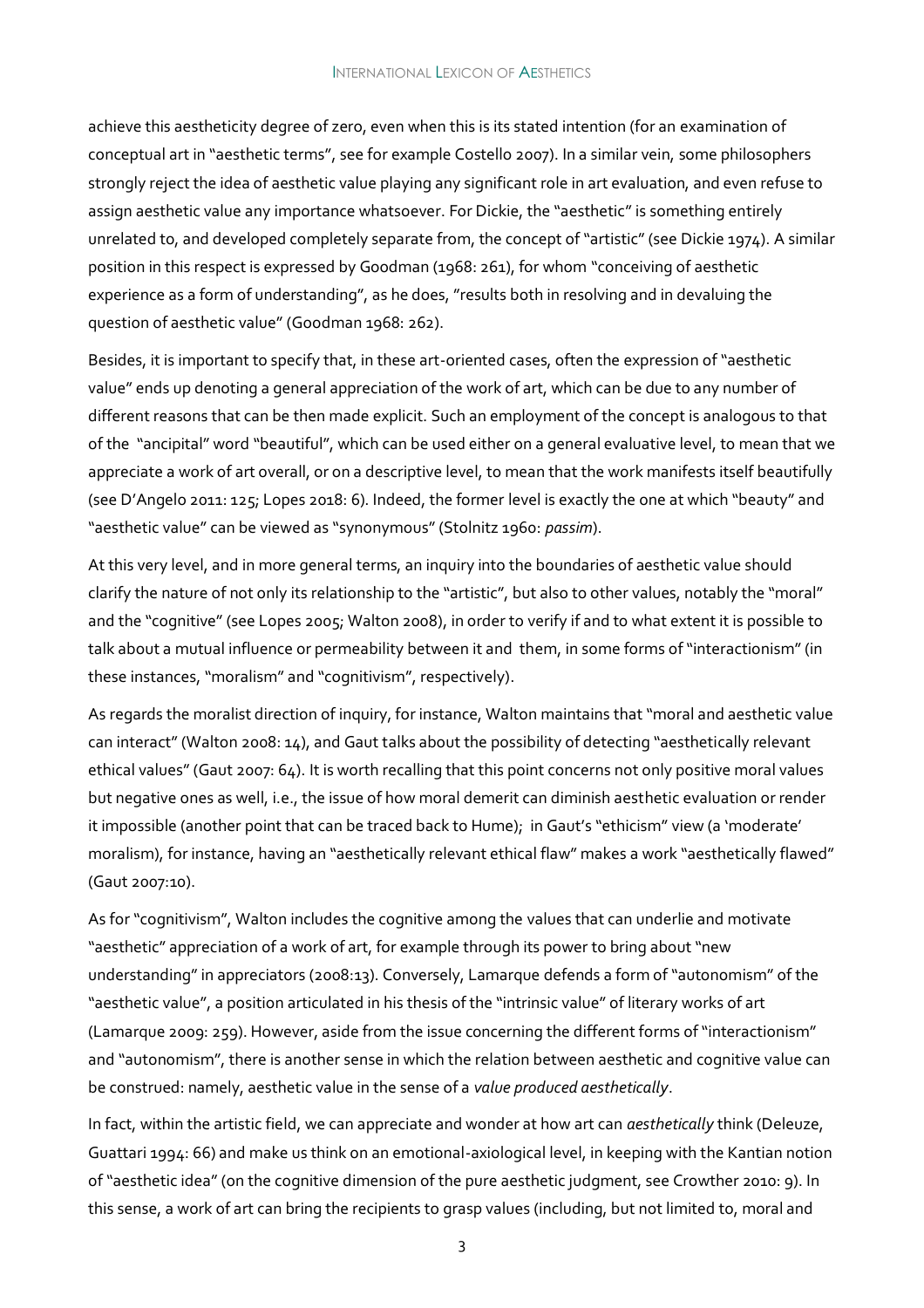achieve this aestheticity degree of zero, even when this is its stated intention (for an examination of conceptual art in "aesthetic terms", see for example Costello 2007). In a similar vein, some philosophers strongly reject the idea of aesthetic value playing any significant role in art evaluation, and even refuse to assign aesthetic value any importance whatsoever. For Dickie, the "aesthetic" is something entirely unrelated to, and developed completely separate from, the concept of "artistic" (see Dickie 1974). A similar position in this respect is expressed by Goodman (1968: 261), for whom "conceiving of aesthetic experience as a form of understanding", as he does, "results both in resolving and in devaluing the question of aesthetic value" (Goodman 1968: 262).

Besides, it is important to specify that, in these art-oriented cases, often the expression of "aesthetic value" ends up denoting a general appreciation of the work of art, which can be due to any number of different reasons that can be then made explicit. Such an employment of the concept is analogous to that of the "ancipital" word "beautiful", which can be used either on a general evaluative level, to mean that we appreciate a work of art overall, or on a descriptive level, to mean that the work manifests itself beautifully (see D'Angelo 2011: 125; Lopes 2018: 6). Indeed, the former level is exactly the one at which "beauty" and "aesthetic value" can be viewed as "synonymous" (Stolnitz 1960: *passim*).

At this very level, and in more general terms, an inquiry into the boundaries of aesthetic value should clarify the nature of not only its relationship to the "artistic", but also to other values, notably the "moral" and the "cognitive" (see Lopes 2005; Walton 2008), in order to verify if and to what extent it is possible to talk about a mutual influence or permeability between it and them, in some forms of "interactionism" (in these instances, "moralism" and "cognitivism", respectively).

As regards the moralist direction of inquiry, for instance, Walton maintains that "moral and aesthetic value can interact" (Walton 2008: 14), and Gaut talks about the possibility of detecting "aesthetically relevant ethical values" (Gaut 2007: 64). It is worth recalling that this point concerns not only positive moral values but negative ones as well, i.e., the issue of how moral demerit can diminish aesthetic evaluation or render it impossible (another point that can be traced back to Hume); in Gaut's "ethicism" view (a 'moderate' moralism), for instance, having an "aesthetically relevant ethical flaw" makes a work "aesthetically flawed" (Gaut 2007:10).

As for "cognitivism", Walton includes the cognitive among the values that can underlie and motivate "aesthetic" appreciation of a work of art, for example through its power to bring about "new understanding" in appreciators (2008:13). Conversely, Lamarque defends a form of "autonomism" of the "aesthetic value", a position articulated in his thesis of the "intrinsic value" of literary works of art (Lamarque 2009: 259). However, aside from the issue concerning the different forms of "interactionism" and "autonomism", there is another sense in which the relation between aesthetic and cognitive value can be construed: namely, aesthetic value in the sense of a *value produced aesthetically*.

In fact, within the artistic field, we can appreciate and wonder at how art can *aesthetically* think (Deleuze, Guattari 1994: 66) and make us think on an emotional-axiological level, in keeping with the Kantian notion of "aesthetic idea" (on the cognitive dimension of the pure aesthetic judgment, see Crowther 2010: 9). In this sense, a work of art can bring the recipients to grasp values (including, but not limited to, moral and

3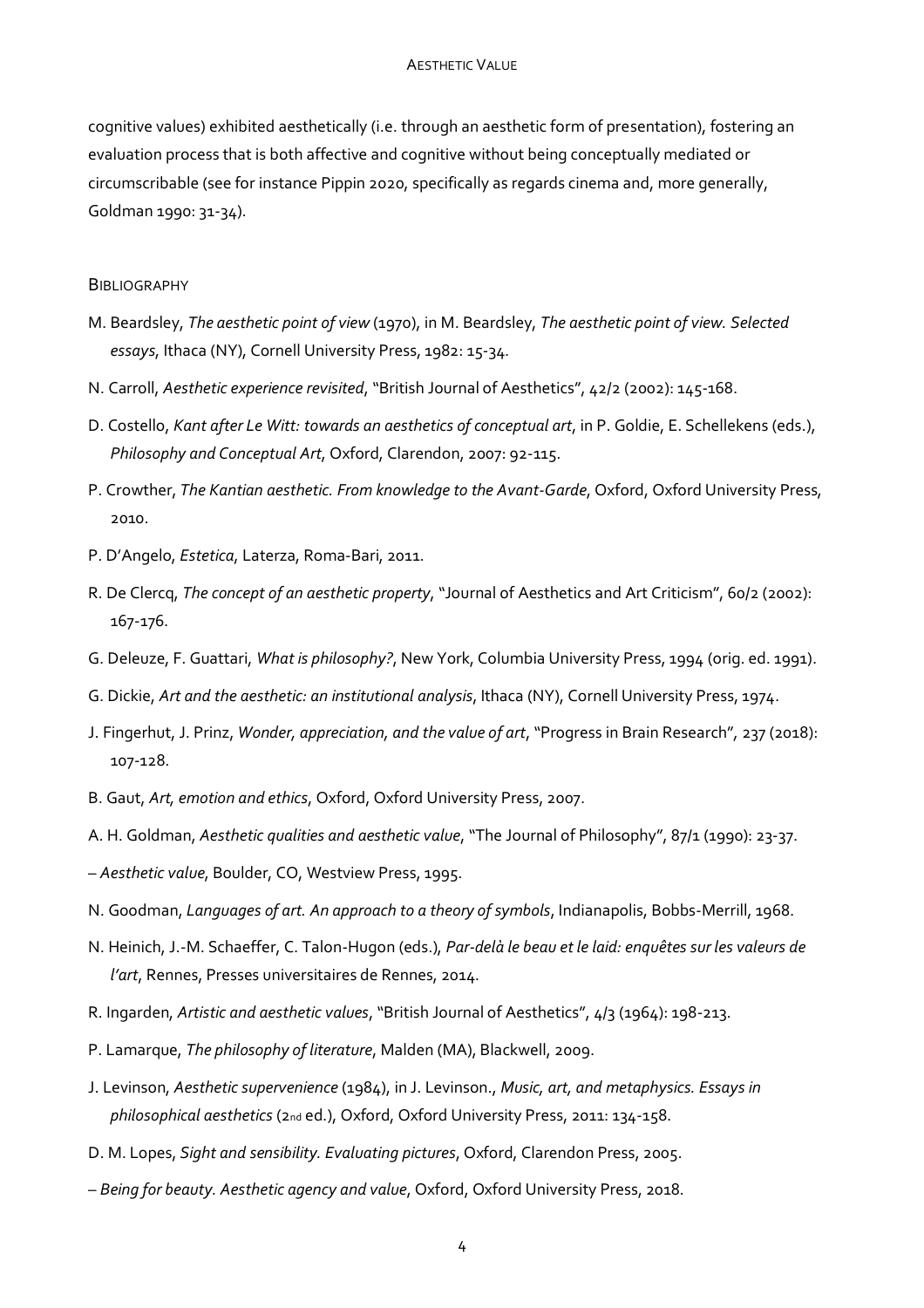cognitive values) exhibited aesthetically (i.e. through an aesthetic form of presentation), fostering an evaluation process that is both affective and cognitive without being conceptually mediated or circumscribable (see for instance Pippin 2020, specifically as regards cinema and, more generally, Goldman 1990: 31-34).

### **BIBLIOGRAPHY**

- M. Beardsley, *The aesthetic point of view* (1970), in M. Beardsley, *The aesthetic point of view. Selected essays*, Ithaca (NY), Cornell University Press, 1982: 15-34.
- N. Carroll, *Aesthetic experience revisited*, "British Journal of Aesthetics", 42/2 (2002): 145-168.
- D. Costello, *Kant after Le Witt: towards an aesthetics of conceptual art*, in P. Goldie, E. Schellekens (eds.), *Philosophy and Conceptual Art*, Oxford, Clarendon, 2007: 92-115.
- P. Crowther, *The Kantian aesthetic. From knowledge to the Avant-Garde*, Oxford, Oxford University Press, 2010.
- P. D'Angelo, *Estetica*, Laterza, Roma-Bari, 2011.
- R. De Clercq, *The concept of an aesthetic property*, "Journal of Aesthetics and Art Criticism", 60/2 (2002): 167-176.
- G. Deleuze, F. Guattari, *What is philosophy?*, New York, Columbia University Press, 1994 (orig. ed. 1991).
- G. Dickie, *Art and the aesthetic: an institutional analysis*, Ithaca (NY), Cornell University Press, 1974.
- J. Fingerhut, J. Prinz, *Wonder, appreciation, and the value of art*, "Progress in Brain Research"*,* 237 (2018): 107-128.
- B. Gaut, *Art, emotion and ethics*, Oxford, Oxford University Press, 2007.
- A. H. Goldman, *Aesthetic qualities and aesthetic value*, "The Journal of Philosophy", 87/1 (1990): 23-37.
- *Aesthetic value*, Boulder, CO, Westview Press, 1995.
- N. Goodman, *Languages of art. An approach to a theory of symbols*, Indianapolis, Bobbs-Merrill, 1968.
- N. Heinich, J.-M. Schaeffer, C. Talon-Hugon (eds.), *Par-delà le beau et le laid: enquêtes sur les valeurs de l'art*, Rennes, Presses universitaires de Rennes, 2014.
- R. Ingarden, *Artistic and aesthetic values*, "British Journal of Aesthetics", 4/3 (1964): 198-213.
- P. Lamarque, *The philosophy of literature*, Malden (MA), Blackwell, 2009.
- J. Levinson, *Aesthetic supervenience* (1984), in J. Levinson., *Music, art, and metaphysics. Essays in philosophical aesthetics* (2nd ed.), Oxford, Oxford University Press, 2011: 134-158.
- D. M. Lopes, *Sight and sensibility. Evaluating pictures*, Oxford, Clarendon Press, 2005.
- *Being for beauty. Aesthetic agency and value*, Oxford, Oxford University Press, 2018.